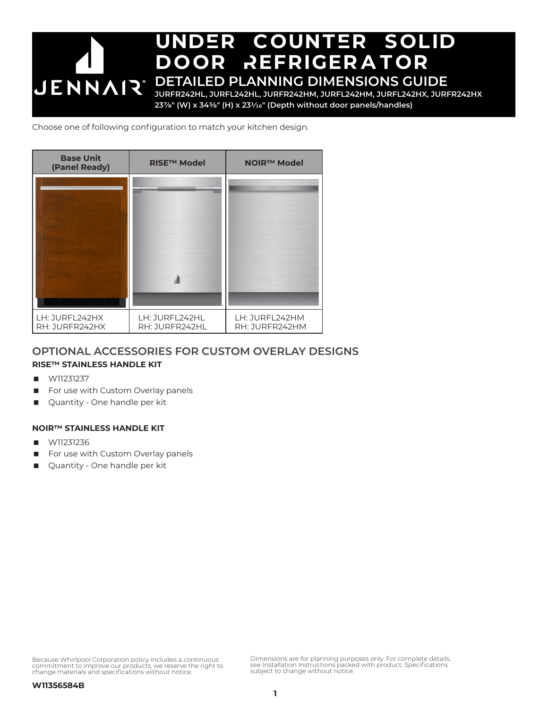

Choose one of following configuration to match your kitchen design.



## **OPTIONAL ACCESSORIES FOR CUSTOM OVERLAY DESIGNS**

## **RISE™ STAINLESS HANDLE KIT**

- W11231237
- For use with Custom Overlay panels
- Quantity One handle per kit

## **NOIR™ STAINLESS HANDLE KIT**

- W11231236
- For use with Custom Overlay panels
- **Quantity One handle per kit**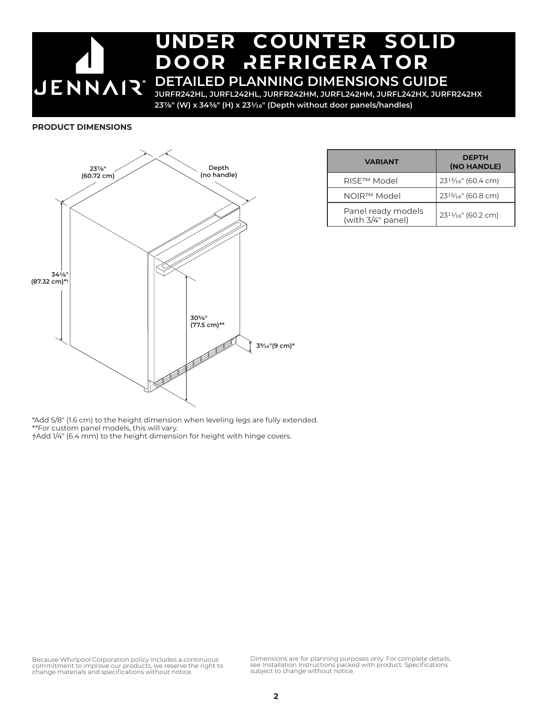## undEr countEr solid DOOR REFRIGERATOR **DETAILED PLANNING DIMENSIONS GUIDE** JENNAIR®

**JURFR242HL, JURFL242HL, JURFR242HM, JURFL242HM, JURFL242HX, JURFR242HX 237/8" (W) x 343/8" (H) x 231/16" (Depth without door panels/handles)**

### **PRODUCT DIMENSIONS**



| <b>VARIANT</b>                          | <b>DEPTH</b><br>(NO HANDLE)                  |  |
|-----------------------------------------|----------------------------------------------|--|
| RISE™ Model                             | $23^{13}/16$ " (60.4 cm)                     |  |
| NOIR™ Model                             | 23 <sup>15</sup> / <sub>16</sub> " (60.8 cm) |  |
| Panel ready models<br>(with 3/4" panel) | $23^{11}/16$ " (60.2 cm)                     |  |

\*Add 5/8" (1.6 cm) to the height dimension when leveling legs are fully extended. \*\*For custom panel models, this will vary. †Add 1/4" (6.4 mm) to the height dimension for height with hinge covers.

Because Whirlpool Corporation policy includes a continuous commitment to improve our products, we reserve the right to change materials and specifications without notice.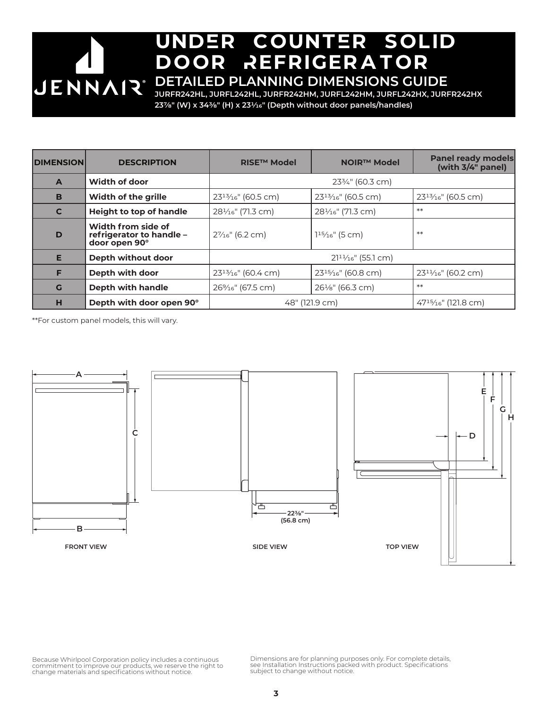# undEr countEr solid DOOR REFRIGERATOR **DETAILED PLANNING DIMENSIONS GUIDE**

**JURFR242HL, JURFL242HL, JURFR242HM, JURFL242HM, JURFL242HX, JURFR242HX 237/8" (W) x 343/8" (H) x 231/16" (Depth without door panels/handles)**

| <b>DIMENSION</b> | <b>DESCRIPTION</b>                                              | <b>RISE™ Model</b>            | <b>NOIR™ Model</b>             | <b>Panel ready models</b><br>(with 3/4" panel) |
|------------------|-----------------------------------------------------------------|-------------------------------|--------------------------------|------------------------------------------------|
| $\mathbf{A}$     | Width of door                                                   | 233/4" (60.3 cm)              |                                |                                                |
| B                | <b>Width of the grille</b>                                      | $23^{13}/16$ " (60.5 cm)      | $23^{13}/16$ " (60.5 cm)       | 23 <sup>13</sup> / <sub>16</sub> " (60.5 cm)   |
| $\mathbf{C}$     | <b>Height to top of handle</b>                                  | $28\frac{1}{16}$ " (71.3 cm)  | 281/ <sub>16</sub> " (71.3 cm) | $**$                                           |
| D                | Width from side of<br>refrigerator to handle -<br>door open 90° | 27/ <sub>16</sub> " (6.2 cm)  | $115/16$ " (5 cm)              | $**$                                           |
| E                | Depth without door                                              | $2111/16$ " (55.1 cm)         |                                |                                                |
| F                | Depth with door                                                 | $23^{13}/16$ " (60.4 cm)      | $23^{15}/16$ " (60.8 cm)       | $23^{11}/16$ " (60.2 cm)                       |
| G                | Depth with handle                                               | 26% <sub>16</sub> " (67.5 cm) | $26\frac{1}{8}$ " (66.3 cm)    | $**$                                           |
| н                | Depth with door open 90°                                        | 48" (121.9 cm)                |                                | $47^{15}/_{16}$ " (121.8 cm)                   |

\*\*For custom panel models, this will vary.



Because Whirlpool Corporation policy includes a continuous commitment to improve our products, we reserve the right to change materials and specifications without notice.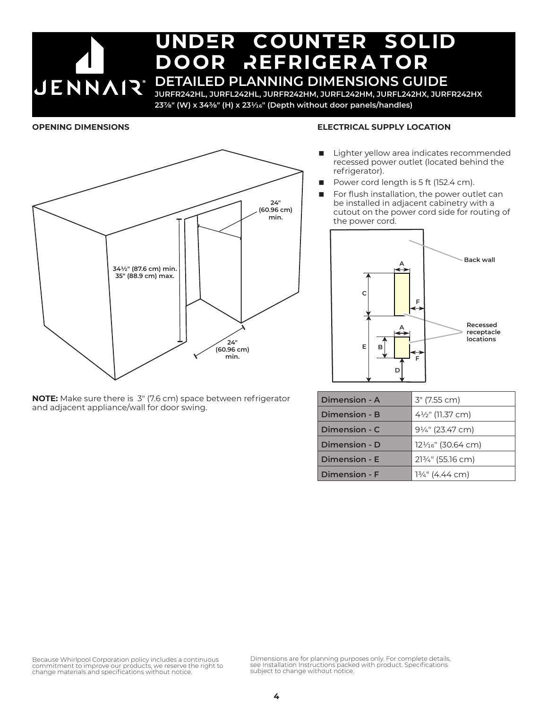# undEr countEr solid DOOR REFRIGERATOR **JENNAIR** DETAILED PLANNING DIMENSIONS GUIDE

**JURFR242HL, JURFL242HL, JURFR242HM, JURFL242HM, JURFL242HX, JURFR242HX 237/8" (W) x 343/8" (H) x 231/16" (Depth without door panels/handles)**

## **OPENING DIMENSIONS**



### **ELECTRICAL SUPPLY LOCATION**

- Lighter yellow area indicates recommended recessed power outlet (located behind the refrigerator).
- Power cord length is 5 ft (152.4 cm).
- For flush installation, the power outlet can be installed in adjacent cabinetry with a cutout on the power cord side for routing of the power cord.



**Dimension - E** 21<sup>3</sup>/<sub>4</sub>" (55.16 cm) **Dimension - F** 13/4" (4.44 cm)

| between refrigerator | Dimension - A | 3" (7.55 cm)                    |
|----------------------|---------------|---------------------------------|
|                      | Dimension - B | 4½" (11.37 cm)                  |
|                      | Dimension - C | 9¼" (23.47 cm)                  |
|                      | Dimension - D | 121/ <sub>16</sub> " (30.64 cm) |

**NOTE:** Make sure there is 3" (7.6 cm) space and adjacent appliance/wall for door swing.

Because Whirlpool Corporation policy includes a continuous commitment to improve our products, we reserve the right to change materials and specifications without notice.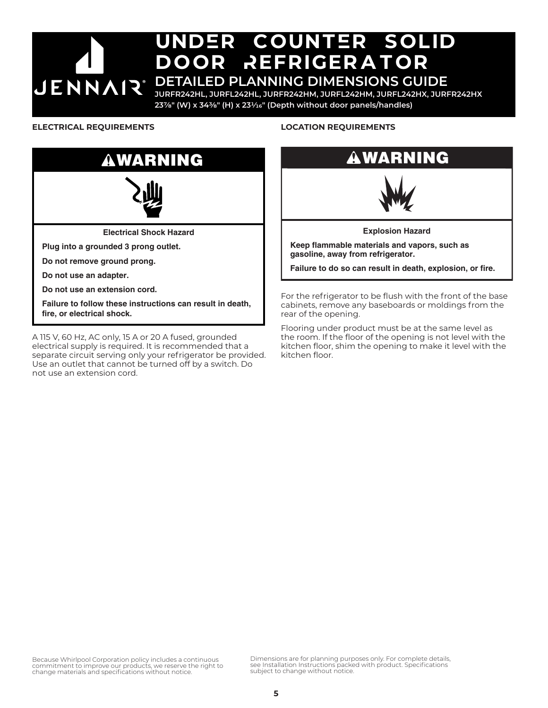# undEr countEr solid DOOR REFRIGERATOR **JENNAIR®**

## **DETAILED PLANNING DIMENSIONS GUIDE**

**JURFR242HL, JURFL242HL, JURFR242HM, JURFL242HM, JURFL242HX, JURFR242HX 237/8" (W) x 343/8" (H) x 231/16" (Depth without door panels/handles)**

## **ELECTRICAL REQUIREMENTS**



A 115 V, 60 Hz, AC only, 15 A or 20 A fused, grounded electrical supply is required. It is recommended that a separate circuit serving only your refrigerator be provided. Use an outlet that cannot be turned off by a switch. Do not use an extension cord.

## **LOCATION REQUIREMENTS**

# WARNING



**Explosion Hazard**

**Keep flammable materials and vapors, such as gasoline, away from refrigerator.**

**Failure to do so can result in death, explosion, or fire.**

For the refrigerator to be flush with the front of the base cabinets, remove any baseboards or moldings from the rear of the opening.

Flooring under product must be at the same level as the room. If the floor of the opening is not level with the kitchen floor, shim the opening to make it level with the kitchen floor.

Because Whirlpool Corporation policy includes a continuous commitment to improve our products, we reserve the right to change materials and specifications without notice.